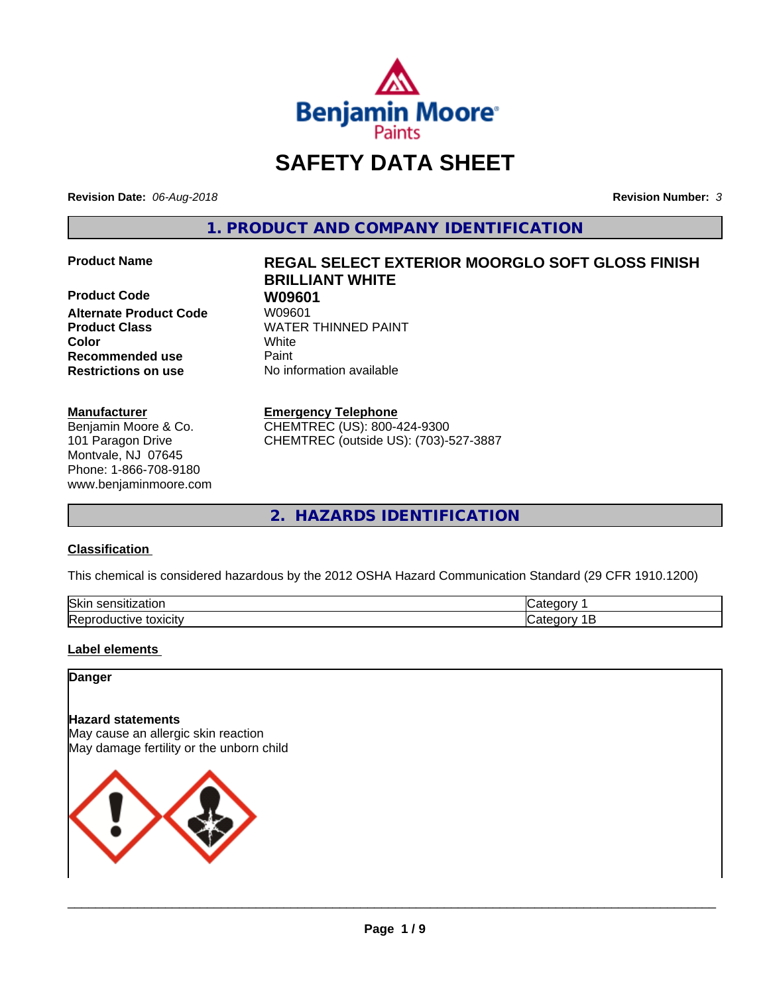

# **SAFETY DATA SHEET**

**Revision Date:** *06-Aug-2018* **Revision Number:** *3*

**1. PRODUCT AND COMPANY IDENTIFICATION**

**Product Code W09601 Alternate Product Code Product Class WATER THINNED PAINT Color** White **Recommended use Caint Restrictions on use** No information available

# **Manufacturer**

Benjamin Moore & Co. 101 Paragon Drive Montvale, NJ 07645 Phone: 1-866-708-9180 www.benjaminmoore.com

# **Product Name REGAL SELECT EXTERIOR MOORGLO SOFT GLOSS FINISH BRILLIANT WHITE**

# **Emergency Telephone**

CHEMTREC (US): 800-424-9300 CHEMTREC (outside US): (703)-527-3887

**2. HAZARDS IDENTIFICATION**

# **Classification**

This chemical is considered hazardous by the 2012 OSHA Hazard Communication Standard (29 CFR 1910.1200)

| lSkiı<br>- - - -<br>ю<br>יי |  |
|-----------------------------|--|
| toxicity<br>fN<br>⊶∽⊿.      |  |

# **Label elements**

# **Danger**

# **Hazard statements**

May cause an allergic skin reaction May damage fertility or the unborn child

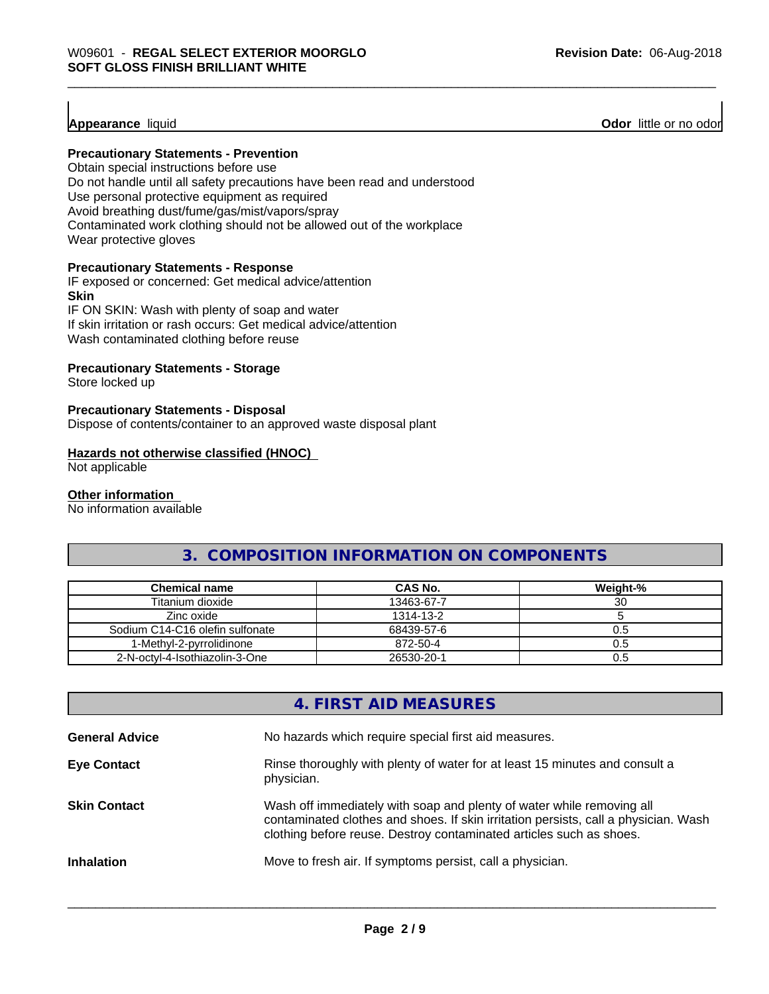**Appearance** liquid **Odor 11** Odor little or no odor

# **Precautionary Statements - Prevention**

Obtain special instructions before use Do not handle until all safety precautions have been read and understood Use personal protective equipment as required Avoid breathing dust/fume/gas/mist/vapors/spray Contaminated work clothing should not be allowed out of the workplace Wear protective gloves

# **Precautionary Statements - Response**

IF exposed or concerned: Get medical advice/attention **Skin** IF ON SKIN: Wash with plenty of soap and water

If skin irritation or rash occurs: Get medical advice/attention Wash contaminated clothing before reuse

# **Precautionary Statements - Storage**

Store locked up

# **Precautionary Statements - Disposal**

Dispose of contents/container to an approved waste disposal plant

# **Hazards not otherwise classified (HNOC)**

Not applicable

# **Other information**

No information available

# **3. COMPOSITION INFORMATION ON COMPONENTS**

| <b>Chemical name</b>            | CAS No.    | Weight-% |
|---------------------------------|------------|----------|
| Titanium dioxide                | 13463-67-7 | 30       |
| Zinc oxide                      | 1314-13-2  |          |
| Sodium C14-C16 olefin sulfonate | 68439-57-6 | 0.5      |
| 1-Methvl-2-pvrrolidinone        | 872-50-4   | 0.5      |
| 2-N-octvl-4-Isothiazolin-3-One  | 26530-20-1 | 0.5      |

# **4. FIRST AID MEASURES**

| <b>General Advice</b> | No hazards which require special first aid measures.                                                                                                                                                                                |
|-----------------------|-------------------------------------------------------------------------------------------------------------------------------------------------------------------------------------------------------------------------------------|
| <b>Eye Contact</b>    | Rinse thoroughly with plenty of water for at least 15 minutes and consult a<br>physician.                                                                                                                                           |
| <b>Skin Contact</b>   | Wash off immediately with soap and plenty of water while removing all<br>contaminated clothes and shoes. If skin irritation persists, call a physician. Wash<br>clothing before reuse. Destroy contaminated articles such as shoes. |
| <b>Inhalation</b>     | Move to fresh air. If symptoms persist, call a physician.                                                                                                                                                                           |
|                       |                                                                                                                                                                                                                                     |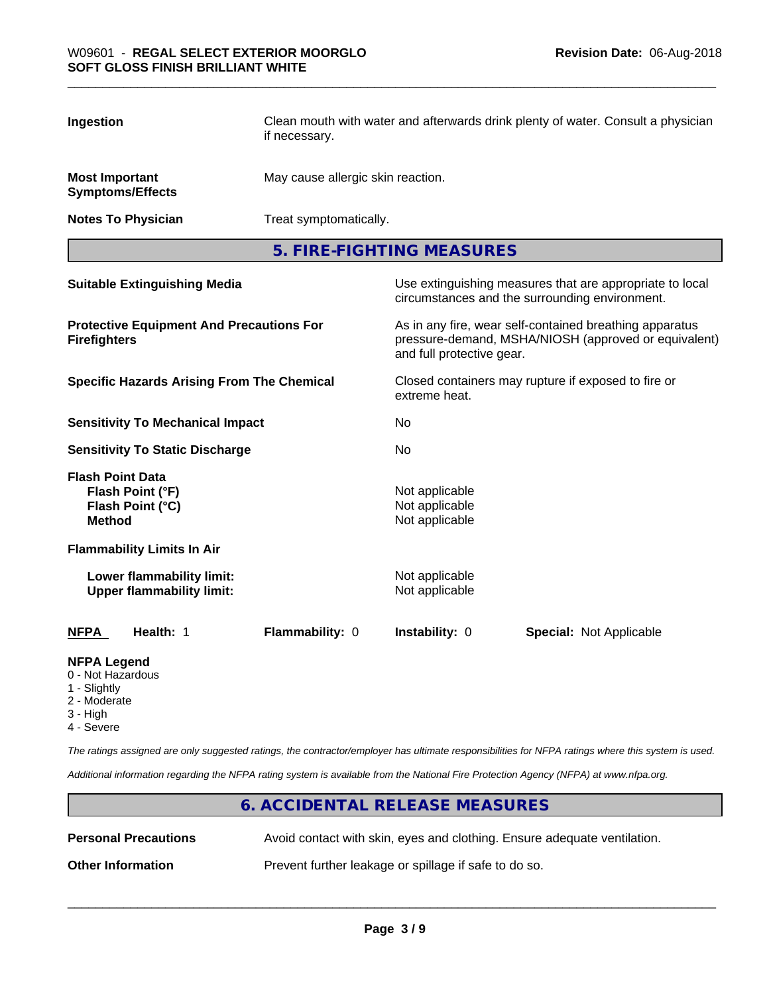| Ingestion                                                                        | if necessary.   | Clean mouth with water and afterwards drink plenty of water. Consult a physician |                                                                                                                 |
|----------------------------------------------------------------------------------|-----------------|----------------------------------------------------------------------------------|-----------------------------------------------------------------------------------------------------------------|
| <b>Most Important</b><br><b>Symptoms/Effects</b>                                 |                 | May cause allergic skin reaction.                                                |                                                                                                                 |
| <b>Notes To Physician</b>                                                        |                 | Treat symptomatically.                                                           |                                                                                                                 |
|                                                                                  |                 | 5. FIRE-FIGHTING MEASURES                                                        |                                                                                                                 |
| <b>Suitable Extinguishing Media</b>                                              |                 |                                                                                  | Use extinguishing measures that are appropriate to local<br>circumstances and the surrounding environment.      |
| <b>Protective Equipment And Precautions For</b><br><b>Firefighters</b>           |                 | and full protective gear.                                                        | As in any fire, wear self-contained breathing apparatus<br>pressure-demand, MSHA/NIOSH (approved or equivalent) |
| <b>Specific Hazards Arising From The Chemical</b>                                |                 | extreme heat.                                                                    | Closed containers may rupture if exposed to fire or                                                             |
| <b>Sensitivity To Mechanical Impact</b>                                          |                 | <b>No</b>                                                                        |                                                                                                                 |
| <b>Sensitivity To Static Discharge</b>                                           |                 | No                                                                               |                                                                                                                 |
| <b>Flash Point Data</b><br>Flash Point (°F)<br>Flash Point (°C)<br><b>Method</b> |                 | Not applicable<br>Not applicable<br>Not applicable                               |                                                                                                                 |
| <b>Flammability Limits In Air</b>                                                |                 |                                                                                  |                                                                                                                 |
| Lower flammability limit:<br><b>Upper flammability limit:</b>                    |                 | Not applicable<br>Not applicable                                                 |                                                                                                                 |
| Health: 1<br><b>NFPA</b>                                                         | Flammability: 0 | Instability: 0                                                                   | <b>Special: Not Applicable</b>                                                                                  |
| <b>NFPA Legend</b>                                                               |                 |                                                                                  |                                                                                                                 |

- 0 Not Hazardous
- 1 Slightly
- 2 Moderate
- 3 High
- 4 Severe

*The ratings assigned are only suggested ratings, the contractor/employer has ultimate responsibilities for NFPA ratings where this system is used.*

*Additional information regarding the NFPA rating system is available from the National Fire Protection Agency (NFPA) at www.nfpa.org.*

# **6. ACCIDENTAL RELEASE MEASURES Personal Precautions** Avoid contact with skin, eyes and clothing. Ensure adequate ventilation. **Other Information** Prevent further leakage or spillage if safe to do so.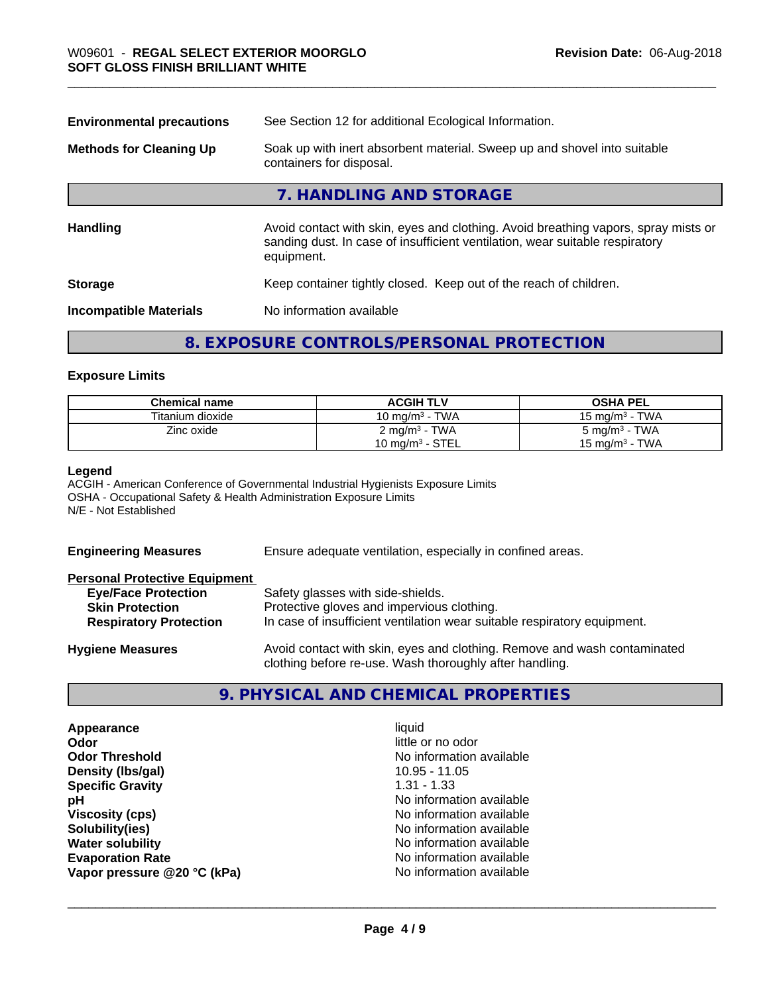| Soak up with inert absorbent material. Sweep up and shovel into suitable<br>containers for disposal.                                                                             |  |
|----------------------------------------------------------------------------------------------------------------------------------------------------------------------------------|--|
| 7. HANDLING AND STORAGE                                                                                                                                                          |  |
| Avoid contact with skin, eyes and clothing. Avoid breathing vapors, spray mists or<br>sanding dust. In case of insufficient ventilation, wear suitable respiratory<br>equipment. |  |
| Keep container tightly closed. Keep out of the reach of children.                                                                                                                |  |
| No information available<br><b>Incompatible Materials</b>                                                                                                                        |  |
|                                                                                                                                                                                  |  |

# **8. EXPOSURE CONTROLS/PERSONAL PROTECTION**

# **Exposure Limits**

| <b>Chemical name</b> | <b>ACGIH TLV</b>          | <b>OSHA PEL</b>          |
|----------------------|---------------------------|--------------------------|
| Titanium dioxide     | 10 mg/m $3$ - TWA         | 15 mg/m $3$ - TWA        |
| Zinc oxide           | 2 mg/m <sup>3</sup> - TWA | $5 \text{ mg/m}^3$ - TWA |
|                      | 10 mg/m $3$ - STEL        | 15 mg/m $3$ - TWA        |

# **Legend**

ACGIH - American Conference of Governmental Industrial Hygienists Exposure Limits OSHA - Occupational Safety & Health Administration Exposure Limits N/E - Not Established

**Engineering Measures** Ensure adequate ventilation, especially in confined areas.

| <b>Personal Protective Equipment</b> |                                                                          |
|--------------------------------------|--------------------------------------------------------------------------|
| <b>Eye/Face Protection</b>           | Safety glasses with side-shields.                                        |
| <b>Skin Protection</b>               | Protective gloves and impervious clothing.                               |
| <b>Respiratory Protection</b>        | In case of insufficient ventilation wear suitable respiratory equipment. |
| <b>Hygiene Measures</b>              | Avoid contact with skin, eyes and clothing. Remove and wash contaminated |

**9. PHYSICAL AND CHEMICAL PROPERTIES**

clothing before re-use. Wash thoroughly after handling.

| Appearance                  | liquid                   |
|-----------------------------|--------------------------|
| Odor                        | little or no odor        |
| <b>Odor Threshold</b>       | No information available |
| Density (Ibs/gal)           | 10.95 - 11.05            |
| <b>Specific Gravity</b>     | $1.31 - 1.33$            |
| рH                          | No information available |
| <b>Viscosity (cps)</b>      | No information available |
| Solubility(ies)             | No information available |
| <b>Water solubility</b>     | No information available |
| <b>Evaporation Rate</b>     | No information available |
| Vapor pressure @20 °C (kPa) | No information available |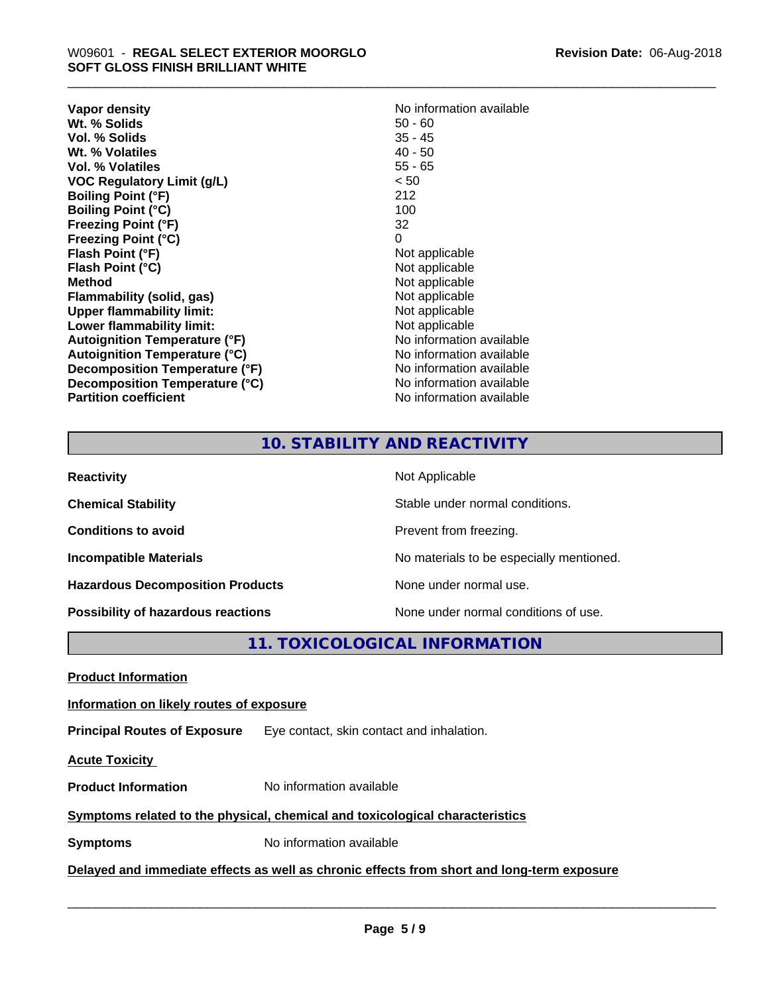| Vapor density                        | No information available |
|--------------------------------------|--------------------------|
| Wt. % Solids                         | $50 - 60$                |
| Vol. % Solids                        | $35 - 45$                |
| Wt. % Volatiles                      | $40 - 50$                |
| Vol. % Volatiles                     | $55 - 65$                |
| <b>VOC Regulatory Limit (g/L)</b>    | < 50                     |
| <b>Boiling Point (°F)</b>            | 212                      |
| <b>Boiling Point (°C)</b>            | 100                      |
| <b>Freezing Point (°F)</b>           | 32                       |
| <b>Freezing Point (°C)</b>           | 0                        |
| Flash Point (°F)                     | Not applicable           |
| Flash Point (°C)                     | Not applicable           |
| <b>Method</b>                        | Not applicable           |
| Flammability (solid, gas)            | Not applicable           |
| <b>Upper flammability limit:</b>     | Not applicable           |
| Lower flammability limit:            | Not applicable           |
| Autoignition Temperature (°F)        | No information available |
| <b>Autoignition Temperature (°C)</b> | No information available |
| Decomposition Temperature (°F)       | No information available |
| Decomposition Temperature (°C)       | No information available |
| <b>Partition coefficient</b>         | No information available |

# **10. STABILITY AND REACTIVITY**

| <b>Reactivity</b>                         | Not Applicable                           |
|-------------------------------------------|------------------------------------------|
| <b>Chemical Stability</b>                 | Stable under normal conditions.          |
| <b>Conditions to avoid</b>                | Prevent from freezing.                   |
| <b>Incompatible Materials</b>             | No materials to be especially mentioned. |
| <b>Hazardous Decomposition Products</b>   | None under normal use.                   |
| <b>Possibility of hazardous reactions</b> | None under normal conditions of use.     |

**11. TOXICOLOGICAL INFORMATION**

**Product Information**

# **Information on likely routes of exposure**

**Principal Routes of Exposure** Eye contact, skin contact and inhalation.

**Acute Toxicity** 

**Product Information** No information available

# **Symptoms related to the physical,chemical and toxicological characteristics**

**Symptoms** No information available

**Delayed and immediate effects as well as chronic effects from short and long-term exposure**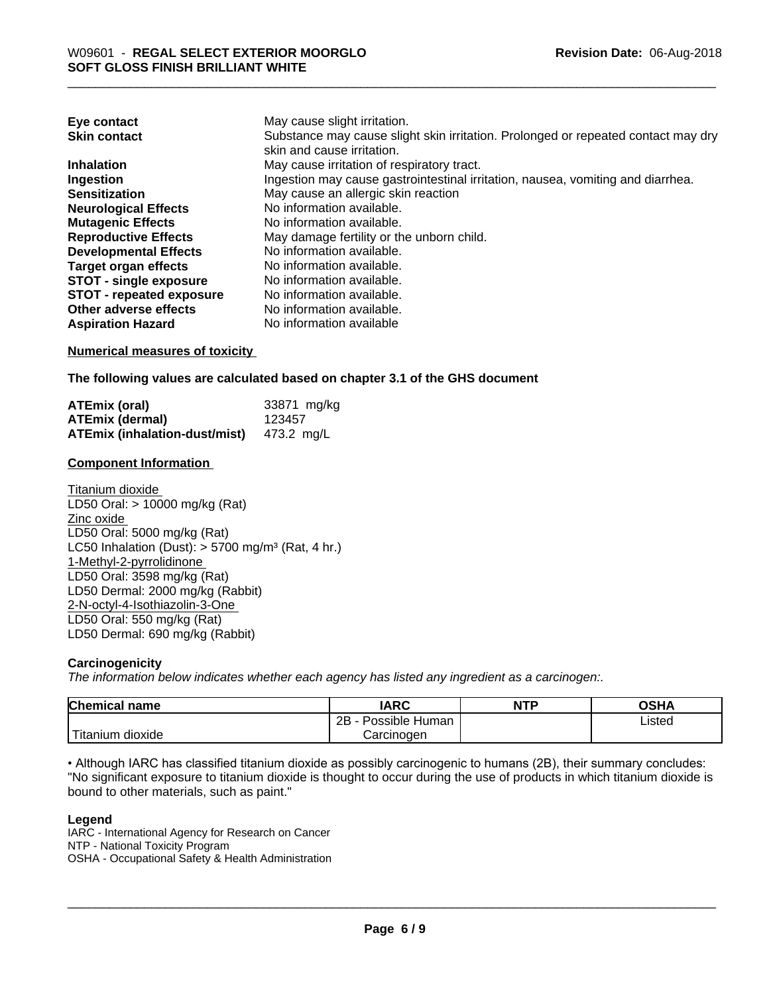| Eye contact                     | May cause slight irritation.                                                      |
|---------------------------------|-----------------------------------------------------------------------------------|
| <b>Skin contact</b>             | Substance may cause slight skin irritation. Prolonged or repeated contact may dry |
|                                 | skin and cause irritation.                                                        |
| <b>Inhalation</b>               | May cause irritation of respiratory tract.                                        |
| Ingestion                       | Ingestion may cause gastrointestinal irritation, nausea, vomiting and diarrhea.   |
| <b>Sensitization</b>            | May cause an allergic skin reaction                                               |
| <b>Neurological Effects</b>     | No information available.                                                         |
| <b>Mutagenic Effects</b>        | No information available.                                                         |
| <b>Reproductive Effects</b>     | May damage fertility or the unborn child.                                         |
| <b>Developmental Effects</b>    | No information available.                                                         |
| <b>Target organ effects</b>     | No information available.                                                         |
| <b>STOT - single exposure</b>   | No information available.                                                         |
| <b>STOT - repeated exposure</b> | No information available.                                                         |
| Other adverse effects           | No information available.                                                         |
| <b>Aspiration Hazard</b>        | No information available                                                          |

# **Numerical measures of toxicity**

**The following values are calculated based on chapter 3.1 of the GHS document**

| ATEmix (oral)                                   | 33871 mg/kg |
|-------------------------------------------------|-------------|
| <b>ATEmix (dermal)</b>                          | 123457      |
| <b>ATEmix (inhalation-dust/mist)</b> 473.2 mg/L |             |

# **Component Information**

Titanium dioxide LD50 Oral: > 10000 mg/kg (Rat) Zinc oxide LD50 Oral: 5000 mg/kg (Rat) LC50 Inhalation (Dust):  $> 5700$  mg/m<sup>3</sup> (Rat, 4 hr.) 1-Methyl-2-pyrrolidinone LD50 Oral: 3598 mg/kg (Rat) LD50 Dermal: 2000 mg/kg (Rabbit) 2-N-octyl-4-Isothiazolin-3-One LD50 Oral: 550 mg/kg (Rat) LD50 Dermal: 690 mg/kg (Rabbit)

# **Carcinogenicity**

*The information below indicateswhether each agency has listed any ingredient as a carcinogen:.*

| <b>Chemical</b><br>name              | <b>IARC</b>                  | NTP | <b>OCU</b><br>∪אח |
|--------------------------------------|------------------------------|-----|-------------------|
|                                      | .<br>2B<br>Human<br>Possible |     | Listed            |
| .<br><br>. dioxide<br><b>itanium</b> | Carcinoɑen                   |     |                   |

• Although IARC has classified titanium dioxide as possibly carcinogenic to humans (2B), their summary concludes: "No significant exposure to titanium dioxide is thought to occur during the use of products in which titanium dioxide is bound to other materials, such as paint."

# **Legend**

IARC - International Agency for Research on Cancer NTP - National Toxicity Program OSHA - Occupational Safety & Health Administration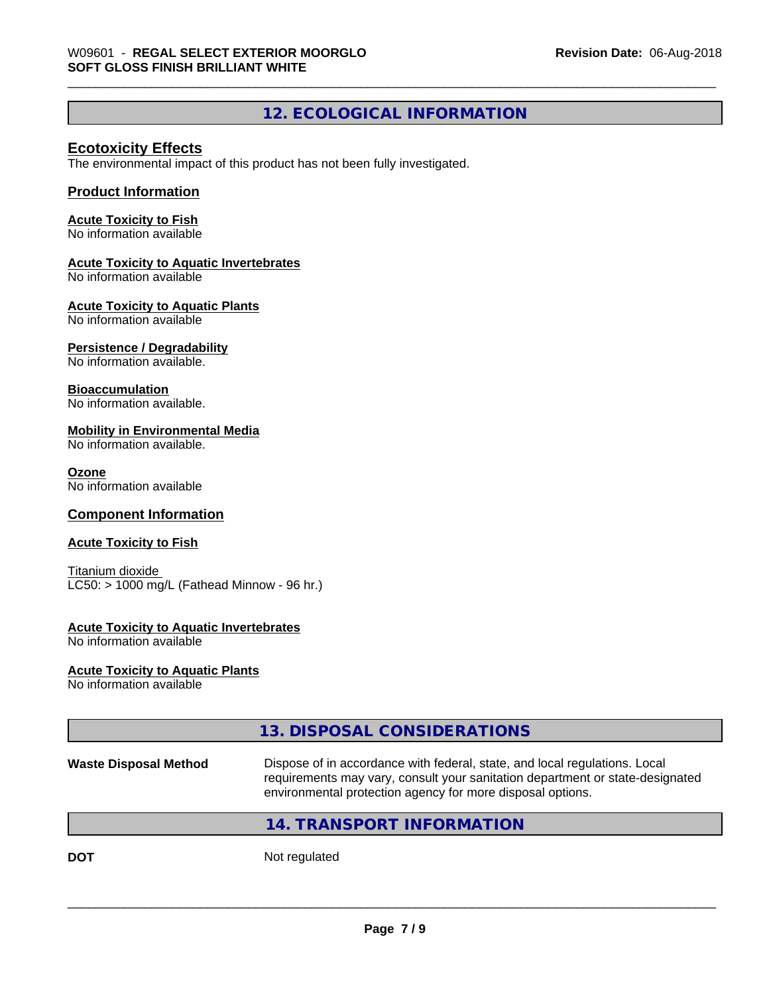# **12. ECOLOGICAL INFORMATION**

# **Ecotoxicity Effects**

The environmental impact of this product has not been fully investigated.

# **Product Information**

# **Acute Toxicity to Fish**

No information available

# **Acute Toxicity to Aquatic Invertebrates**

No information available

# **Acute Toxicity to Aquatic Plants**

No information available

# **Persistence / Degradability**

No information available.

# **Bioaccumulation**

No information available.

# **Mobility in Environmental Media**

No information available.

### **Ozone**

No information available

# **Component Information**

# **Acute Toxicity to Fish**

Titanium dioxide  $LC50:$  > 1000 mg/L (Fathead Minnow - 96 hr.)

# **Acute Toxicity to Aquatic Invertebrates**

No information available

# **Acute Toxicity to Aquatic Plants**

No information available

# **13. DISPOSAL CONSIDERATIONS**

**Waste Disposal Method** Dispose of in accordance with federal, state, and local regulations. Local requirements may vary, consult your sanitation department or state-designated environmental protection agency for more disposal options.

 $\overline{\phantom{a}}$  ,  $\overline{\phantom{a}}$  ,  $\overline{\phantom{a}}$  ,  $\overline{\phantom{a}}$  ,  $\overline{\phantom{a}}$  ,  $\overline{\phantom{a}}$  ,  $\overline{\phantom{a}}$  ,  $\overline{\phantom{a}}$  ,  $\overline{\phantom{a}}$  ,  $\overline{\phantom{a}}$  ,  $\overline{\phantom{a}}$  ,  $\overline{\phantom{a}}$  ,  $\overline{\phantom{a}}$  ,  $\overline{\phantom{a}}$  ,  $\overline{\phantom{a}}$  ,  $\overline{\phantom{a}}$ 

# **14. TRANSPORT INFORMATION**

**DOT** Not regulated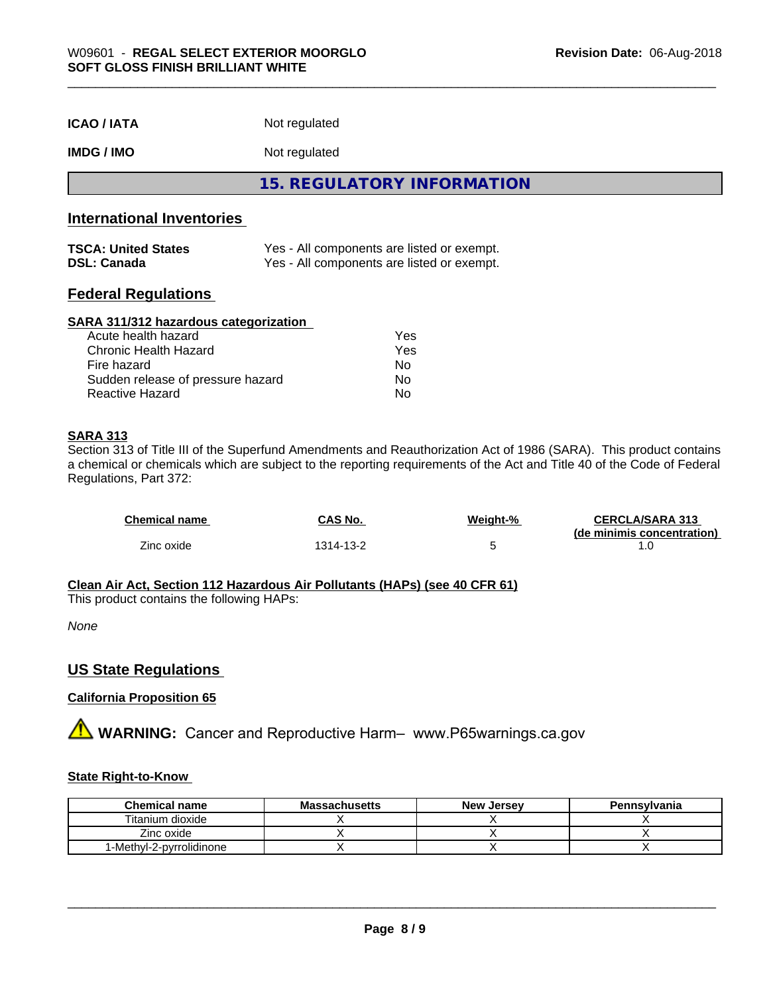| <b>ICAO / IATA</b> | Not regulated |  |
|--------------------|---------------|--|
|--------------------|---------------|--|

# **IMDG / IMO** Not regulated

**15. REGULATORY INFORMATION**

# **International Inventories**

| <b>TSCA: United States</b> | Yes - All components are listed or exempt. |
|----------------------------|--------------------------------------------|
| <b>DSL: Canada</b>         | Yes - All components are listed or exempt. |

# **Federal Regulations**

### **SARA 311/312 hazardous categorization**

| Acute health hazard               | Yes |
|-----------------------------------|-----|
| Chronic Health Hazard             | Yes |
| Fire hazard                       | Nο  |
| Sudden release of pressure hazard | Nο  |
| Reactive Hazard                   | N٥  |

# **SARA 313**

Section 313 of Title III of the Superfund Amendments and Reauthorization Act of 1986 (SARA). This product contains a chemical or chemicals which are subject to the reporting requirements of the Act and Title 40 of the Code of Federal Regulations, Part 372:

| <b>Chemical name</b> | CAS No.   | Weight-% | <b>CERCLA/SARA 313</b>     |
|----------------------|-----------|----------|----------------------------|
|                      |           |          | (de minimis concentration) |
| Zinc oxide           | 1314-13-2 |          |                            |

**Clean Air Act,Section 112 Hazardous Air Pollutants (HAPs) (see 40 CFR 61)**

This product contains the following HAPs:

*None*

# **US State Regulations**

# **California Proposition 65**

**AVIMARNING:** Cancer and Reproductive Harm– www.P65warnings.ca.gov

# **State Right-to-Know**

| <b>Chemical name</b>     | <b>Massachusetts</b> | <b>New Jersev</b> | Pennsylvania |
|--------------------------|----------------------|-------------------|--------------|
| Titanium dioxide         |                      |                   |              |
| Zinc oxide               |                      |                   |              |
| 1-Methyl-2-pyrrolidinone |                      |                   |              |